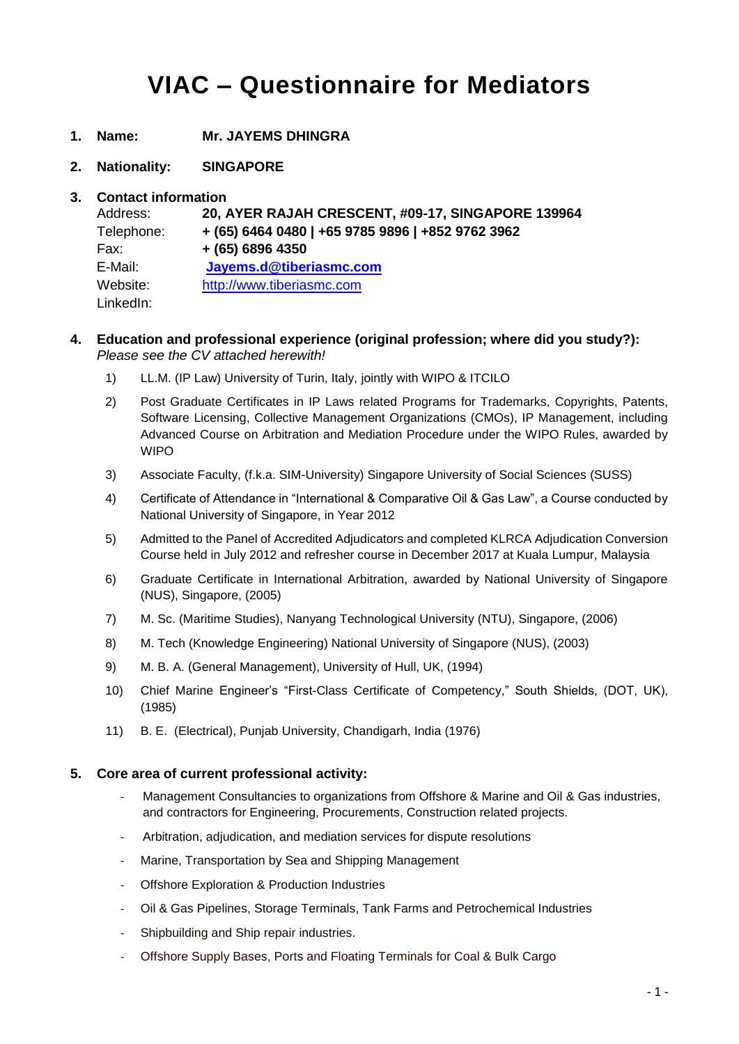# **VIAC – Questionnaire for Mediators**

- **1. Name: Mr. JAYEMS DHINGRA**
- **2. Nationality: SINGAPORE**

### **3. Contact information**

| Address:   | 20, AYER RAJAH CRESCENT, #09-17, SINGAPORE 139964 |
|------------|---------------------------------------------------|
| Telephone: | + (65) 6464 0480   +65 9785 9896   +852 9762 3962 |
| Fax:       | $+ (65) 6896 4350$                                |
| E-Mail:    | Jayems.d@tiberiasmc.com                           |
| Website:   | http://www.tiberiasmc.com                         |
| LinkedIn:  |                                                   |

### **4. Education and professional experience (original profession; where did you study?):** *Please see the CV attached herewith!*

- 1) LL.M. (IP Law) University of Turin, Italy, jointly with WIPO & ITCILO
- 2) Post Graduate Certificates in IP Laws related Programs for Trademarks, Copyrights, Patents, Software Licensing, Collective Management Organizations (CMOs), IP Management, including Advanced Course on Arbitration and Mediation Procedure under the WIPO Rules, awarded by WIPO
- 3) Associate Faculty, (f.k.a. SIM-University) Singapore University of Social Sciences (SUSS)
- 4) Certificate of Attendance in "International & Comparative Oil & Gas Law", a Course conducted by National University of Singapore, in Year 2012
- 5) Admitted to the Panel of Accredited Adjudicators and completed KLRCA Adjudication Conversion Course held in July 2012 and refresher course in December 2017 at Kuala Lumpur, Malaysia
- 6) Graduate Certificate in International Arbitration, awarded by National University of Singapore (NUS), Singapore, (2005)
- 7) M. Sc. (Maritime Studies), Nanyang Technological University (NTU), Singapore, (2006)
- 8) M. Tech (Knowledge Engineering) National University of Singapore (NUS), (2003)
- 9) M. B. A. (General Management), University of Hull, UK, (1994)
- 10) Chief Marine Engineer's "First-Class Certificate of Competency," South Shields, (DOT, UK), (1985)
- 11) B. E. (Electrical), Punjab University, Chandigarh, India (1976)

### **5. Core area of current professional activity:**

- Management Consultancies to organizations from Offshore & Marine and Oil & Gas industries, and contractors for Engineering, Procurements, Construction related projects.
- Arbitration, adjudication, and mediation services for dispute resolutions
- Marine, Transportation by Sea and Shipping Management
- Offshore Exploration & Production Industries
- Oil & Gas Pipelines, Storage Terminals, Tank Farms and Petrochemical Industries
- Shipbuilding and Ship repair industries.
- Offshore Supply Bases, Ports and Floating Terminals for Coal & Bulk Cargo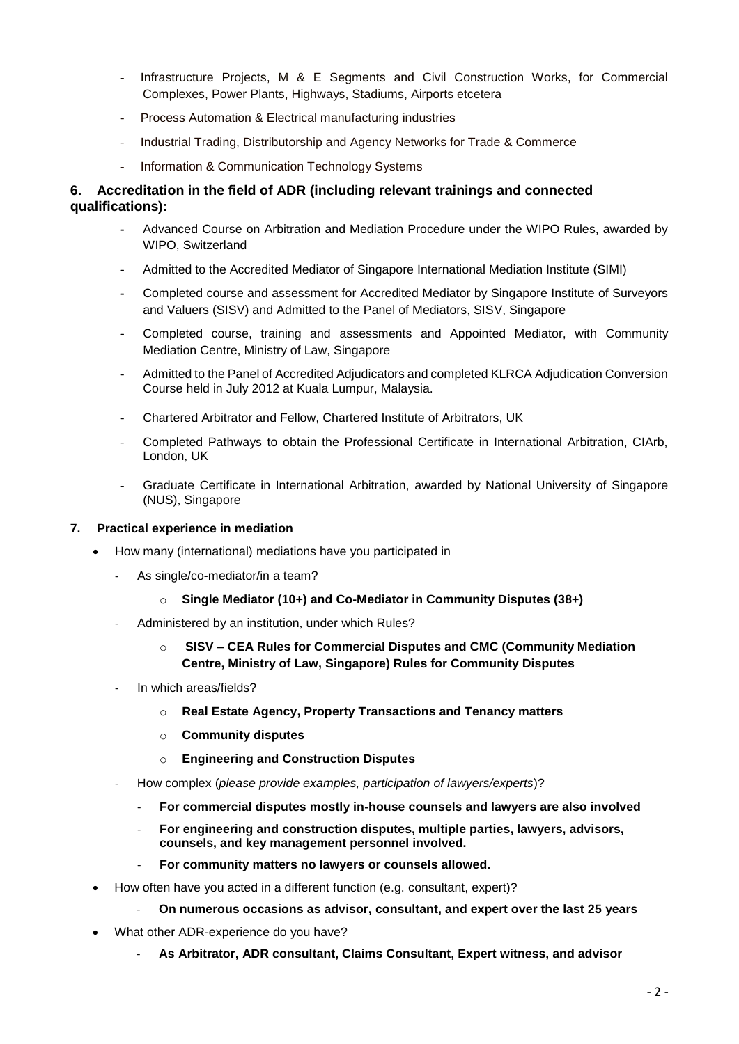- Infrastructure Projects, M & E Segments and Civil Construction Works, for Commercial Complexes, Power Plants, Highways, Stadiums, Airports etcetera
- Process Automation & Electrical manufacturing industries
- Industrial Trading, Distributorship and Agency Networks for Trade & Commerce
- Information & Communication Technology Systems

### **6. Accreditation in the field of ADR (including relevant trainings and connected qualifications):**

- **-** Advanced Course on Arbitration and Mediation Procedure under the WIPO Rules, awarded by WIPO, Switzerland
- **-** Admitted to the Accredited Mediator of Singapore International Mediation Institute (SIMI)
- **-** Completed course and assessment for Accredited Mediator by Singapore Institute of Surveyors and Valuers (SISV) and Admitted to the Panel of Mediators, SISV, Singapore
- **-** Completed course, training and assessments and Appointed Mediator, with Community Mediation Centre, Ministry of Law, Singapore
- Admitted to the Panel of Accredited Adjudicators and completed KLRCA Adjudication Conversion Course held in July 2012 at Kuala Lumpur, Malaysia.
- Chartered Arbitrator and Fellow, Chartered Institute of Arbitrators, UK
- Completed Pathways to obtain the Professional Certificate in International Arbitration, CIArb, London, UK
- Graduate Certificate in International Arbitration, awarded by National University of Singapore (NUS), Singapore

### **7. Practical experience in mediation**

- How many (international) mediations have you participated in
	- As single/co-mediator/in a team?
		- o **Single Mediator (10+) and Co-Mediator in Community Disputes (38+)**
	- Administered by an institution, under which Rules?
		- o **SISV – CEA Rules for Commercial Disputes and CMC (Community Mediation Centre, Ministry of Law, Singapore) Rules for Community Disputes**
	- In which areas/fields?
		- o **Real Estate Agency, Property Transactions and Tenancy matters**
		- o **Community disputes**
		- o **Engineering and Construction Disputes**
	- How complex (*please provide examples, participation of lawyers/experts*)?
		- **For commercial disputes mostly in-house counsels and lawyers are also involved**
		- **For engineering and construction disputes, multiple parties, lawyers, advisors, counsels, and key management personnel involved.**
		- **For community matters no lawyers or counsels allowed.**
- How often have you acted in a different function (e.g. consultant, expert)?
	- **On numerous occasions as advisor, consultant, and expert over the last 25 years**
- What other ADR-experience do you have?
	- **As Arbitrator, ADR consultant, Claims Consultant, Expert witness, and advisor**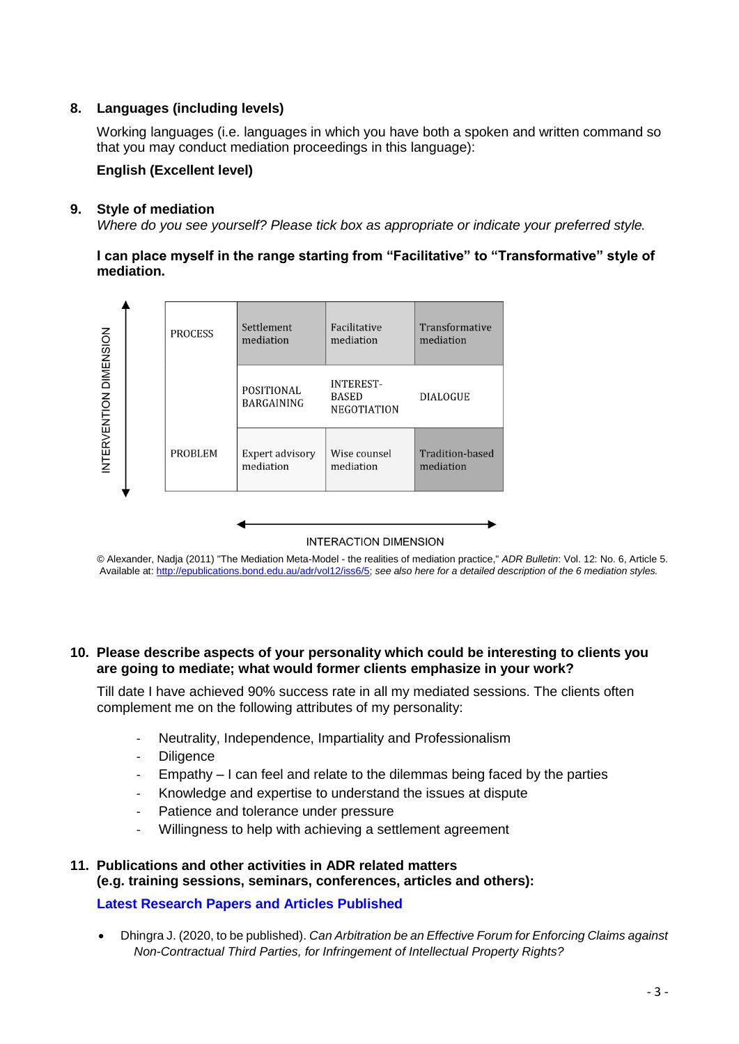### **8. Languages (including levels)**

Working languages (i.e. languages in which you have both a spoken and written command so that you may conduct mediation proceedings in this language):

### **English (Excellent level)**

### **9. Style of mediation**

*Where do you see yourself? Please tick box as appropriate or indicate your preferred style.*

**I can place myself in the range starting from "Facilitative" to "Transformative" style of mediation.**



*©* Alexander, Nadja (2011) "The Mediation Meta-Model - the realities of mediation practice," *ADR Bulletin*: Vol. 12: No. 6, Article 5. Available at: [http://epublications.bond.edu.au/adr/vol12/iss6/5;](http://epublications.bond.edu.au/adr/vol12/iss6/5) *see also here for a detailed description of the 6 mediation styles.*

### **10. Please describe aspects of your personality which could be interesting to clients you are going to mediate; what would former clients emphasize in your work?**

Till date I have achieved 90% success rate in all my mediated sessions. The clients often complement me on the following attributes of my personality:

- Neutrality, Independence, Impartiality and Professionalism
- Diligence
- Empathy I can feel and relate to the dilemmas being faced by the parties
- Knowledge and expertise to understand the issues at dispute
- Patience and tolerance under pressure
- Willingness to help with achieving a settlement agreement

## **11. Publications and other activities in ADR related matters (e.g. training sessions, seminars, conferences, articles and others):**

### **Latest Research Papers and Articles Published**

 Dhingra J. (2020, to be published). *Can Arbitration be an Effective Forum for Enforcing Claims against Non-Contractual Third Parties, for Infringement of Intellectual Property Rights?*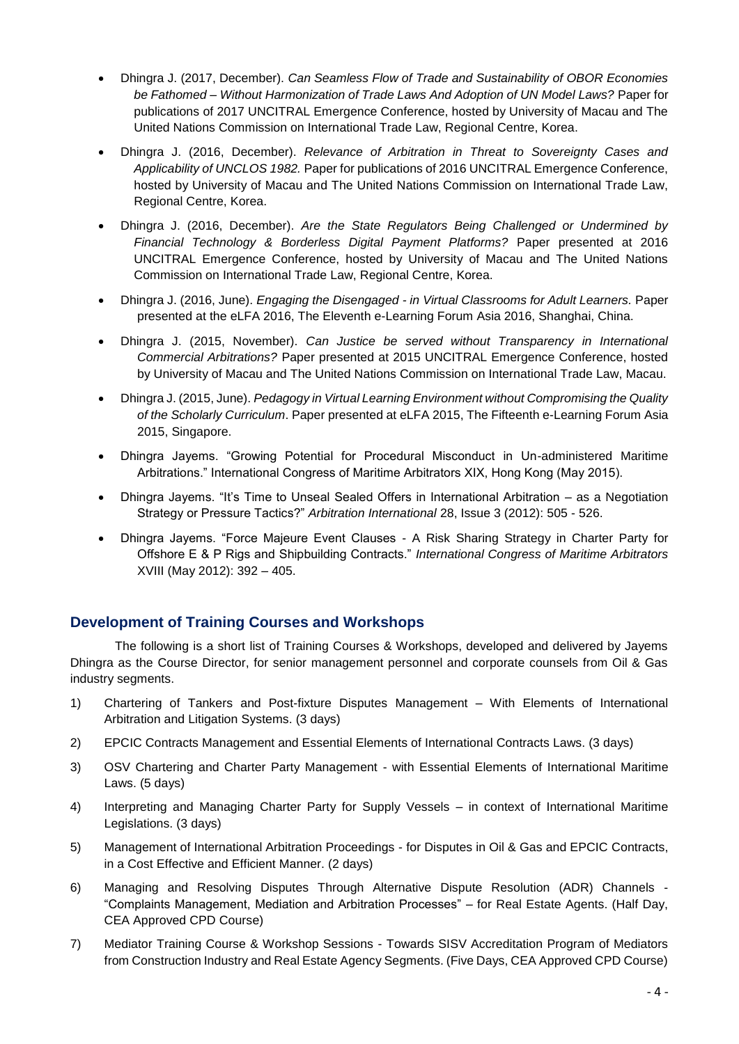- Dhingra J. (2017, December). *Can Seamless Flow of Trade and Sustainability of OBOR Economies be Fathomed – Without Harmonization of Trade Laws And Adoption of UN Model Laws?* Paper for publications of 2017 UNCITRAL Emergence Conference, hosted by University of Macau and The United Nations Commission on International Trade Law, Regional Centre, Korea.
- Dhingra J. (2016, December). *Relevance of Arbitration in Threat to Sovereignty Cases and Applicability of UNCLOS 1982.* Paper for publications of 2016 UNCITRAL Emergence Conference, hosted by University of Macau and The United Nations Commission on International Trade Law, Regional Centre, Korea.
- Dhingra J. (2016, December). *Are the State Regulators Being Challenged or Undermined by Financial Technology & Borderless Digital Payment Platforms?* Paper presented at 2016 UNCITRAL Emergence Conference, hosted by University of Macau and The United Nations Commission on International Trade Law, Regional Centre, Korea.
- Dhingra J. (2016, June). *Engaging the Disengaged - in Virtual Classrooms for Adult Learners.* Paper presented at the eLFA 2016, The Eleventh e-Learning Forum Asia 2016, Shanghai, China.
- Dhingra J. (2015, November). *Can Justice be served without Transparency in International Commercial Arbitrations?* Paper presented at 2015 UNCITRAL Emergence Conference, hosted by University of Macau and The United Nations Commission on International Trade Law, Macau.
- Dhingra J. (2015, June). *Pedagogy in Virtual Learning Environment without Compromising the Quality of the Scholarly Curriculum*. Paper presented at eLFA 2015, The Fifteenth e-Learning Forum Asia 2015, Singapore.
- Dhingra Jayems. "Growing Potential for Procedural Misconduct in Un-administered Maritime Arbitrations." International Congress of Maritime Arbitrators XIX, Hong Kong (May 2015).
- Dhingra Jayems. "It's Time to Unseal Sealed Offers in International Arbitration as a Negotiation Strategy or Pressure Tactics?" *Arbitration International* 28, Issue 3 (2012): 505 - 526.
- Dhingra Jayems. "Force Majeure Event Clauses A Risk Sharing Strategy in Charter Party for Offshore E & P Rigs and Shipbuilding Contracts." *International Congress of Maritime Arbitrators* XVIII (May 2012): 392 – 405.

### **Development of Training Courses and Workshops**

The following is a short list of Training Courses & Workshops, developed and delivered by Jayems Dhingra as the Course Director, for senior management personnel and corporate counsels from Oil & Gas industry segments.

- 1) Chartering of Tankers and Post-fixture Disputes Management With Elements of International Arbitration and Litigation Systems. (3 days)
- 2) EPCIC Contracts Management and Essential Elements of International Contracts Laws. (3 days)
- 3) OSV Chartering and Charter Party Management with Essential Elements of International Maritime Laws. (5 days)
- 4) Interpreting and Managing Charter Party for Supply Vessels in context of International Maritime Legislations. (3 days)
- 5) Management of International Arbitration Proceedings for Disputes in Oil & Gas and EPCIC Contracts, in a Cost Effective and Efficient Manner. (2 days)
- 6) Managing and Resolving Disputes Through Alternative Dispute Resolution (ADR) Channels "Complaints Management, Mediation and Arbitration Processes" – for Real Estate Agents. (Half Day, CEA Approved CPD Course)
- 7) Mediator Training Course & Workshop Sessions Towards SISV Accreditation Program of Mediators from Construction Industry and Real Estate Agency Segments. (Five Days, CEA Approved CPD Course)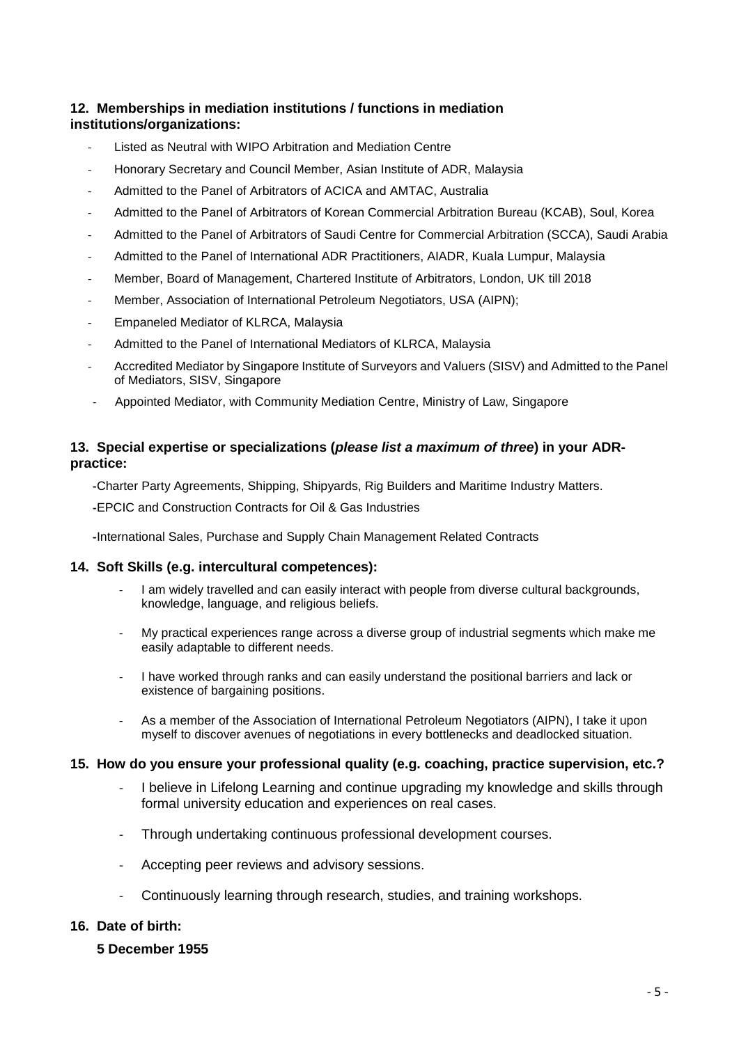### **12. Memberships in mediation institutions / functions in mediation institutions/organizations:**

- Listed as Neutral with WIPO Arbitration and Mediation Centre
- Honorary Secretary and Council Member, Asian Institute of ADR, Malaysia
- Admitted to the Panel of Arbitrators of ACICA and AMTAC, Australia
- Admitted to the Panel of Arbitrators of Korean Commercial Arbitration Bureau (KCAB), Soul, Korea
- Admitted to the Panel of Arbitrators of Saudi Centre for Commercial Arbitration (SCCA), Saudi Arabia
- Admitted to the Panel of International ADR Practitioners, AIADR, Kuala Lumpur, Malaysia
- Member, Board of Management, Chartered Institute of Arbitrators, London, UK till 2018
- Member, Association of International Petroleum Negotiators, USA (AIPN);
- Empaneled Mediator of KLRCA, Malaysia
- Admitted to the Panel of International Mediators of KLRCA, Malaysia
- Accredited Mediator by Singapore Institute of Surveyors and Valuers (SISV) and Admitted to the Panel of Mediators, SISV, Singapore
- Appointed Mediator, with Community Mediation Centre, Ministry of Law, Singapore

### **13. Special expertise or specializations (***please list a maximum of three***) in your ADRpractice:**

**-**Charter Party Agreements, Shipping, Shipyards, Rig Builders and Maritime Industry Matters.

**-**EPCIC and Construction Contracts for Oil & Gas Industries

**-**International Sales, Purchase and Supply Chain Management Related Contracts

### **14. Soft Skills (e.g. intercultural competences):**

- I am widely travelled and can easily interact with people from diverse cultural backgrounds, knowledge, language, and religious beliefs.
- My practical experiences range across a diverse group of industrial segments which make me easily adaptable to different needs.
- I have worked through ranks and can easily understand the positional barriers and lack or existence of bargaining positions.
- As a member of the Association of International Petroleum Negotiators (AIPN), I take it upon myself to discover avenues of negotiations in every bottlenecks and deadlocked situation.

### **15. How do you ensure your professional quality (e.g. coaching, practice supervision, etc.?**

- I believe in Lifelong Learning and continue upgrading my knowledge and skills through formal university education and experiences on real cases.
- Through undertaking continuous professional development courses.
- Accepting peer reviews and advisory sessions.
- Continuously learning through research, studies, and training workshops.

### **16. Date of birth:**

**5 December 1955**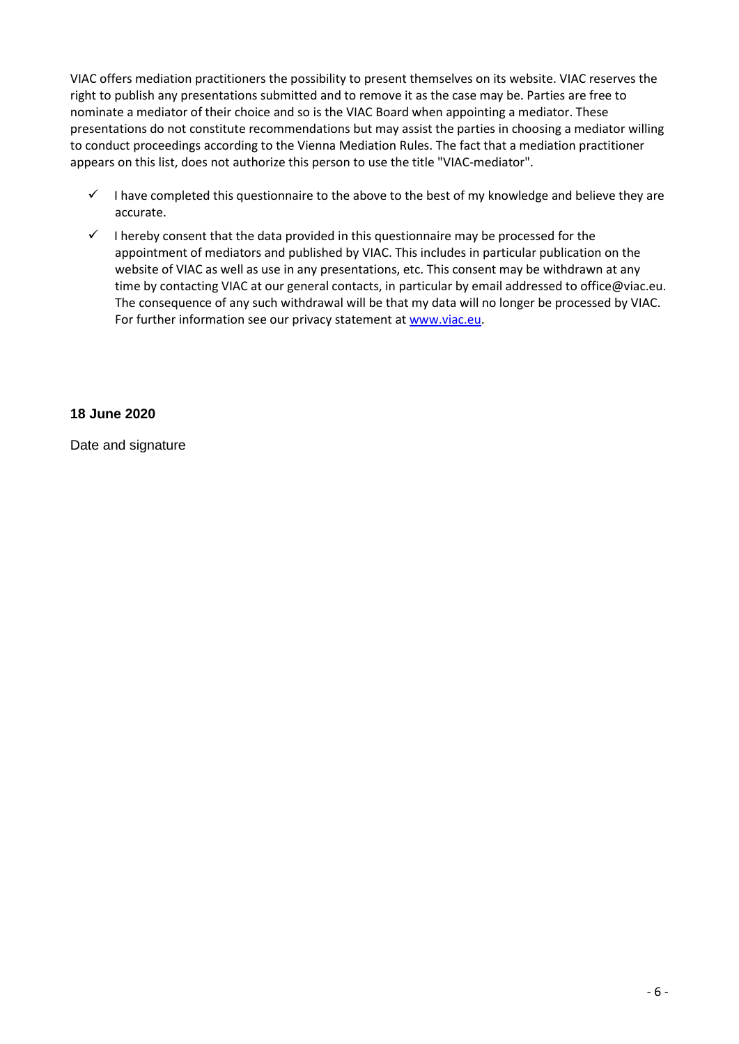VIAC offers mediation practitioners the possibility to present themselves on its website. VIAC reserves the right to publish any presentations submitted and to remove it as the case may be. Parties are free to nominate a mediator of their choice and so is the VIAC Board when appointing a mediator. These presentations do not constitute recommendations but may assist the parties in choosing a mediator willing to conduct proceedings according to the Vienna Mediation Rules. The fact that a mediation practitioner appears on this list, does not authorize this person to use the title "VIAC-mediator".

- $\checkmark$  I have completed this questionnaire to the above to the best of my knowledge and believe they are accurate.
- $\checkmark$  I hereby consent that the data provided in this questionnaire may be processed for the appointment of mediators and published by VIAC. This includes in particular publication on the website of VIAC as well as use in any presentations, etc. This consent may be withdrawn at any time by contacting VIAC at our general contacts, in particular by email addressed to office@viac.eu. The consequence of any such withdrawal will be that my data will no longer be processed by VIAC. For further information see our privacy statement at [www.viac.eu.](http://www.viac.eu/en/privacy-statement)

### **18 June 2020**

Date and signature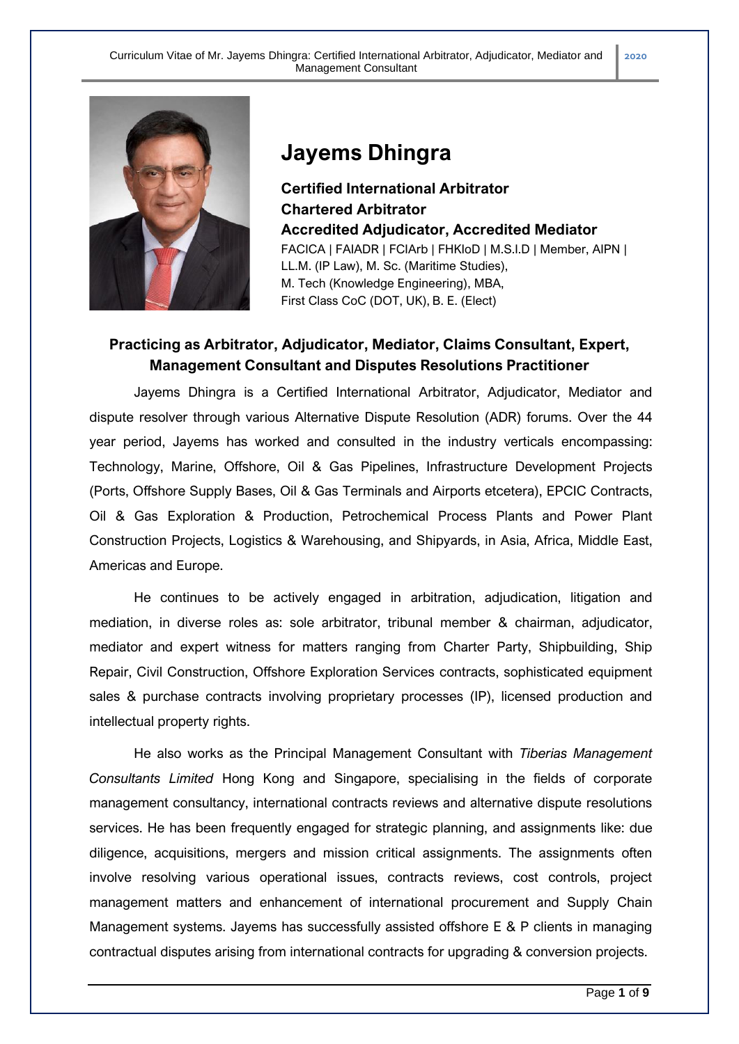

# **Jayems Dhingra**

**Certified International Arbitrator Chartered Arbitrator Accredited Adjudicator, Accredited Mediator** FACICA | FAIADR | FCIArb | FHKIoD | M.S.I.D | Member, AIPN | LL.M. (IP Law), M. Sc. (Maritime Studies), M. Tech (Knowledge Engineering), MBA, First Class CoC (DOT, UK), B. E. (Elect)

# **Practicing as Arbitrator, Adjudicator, Mediator, Claims Consultant, Expert, Management Consultant and Disputes Resolutions Practitioner**

Jayems Dhingra is a Certified International Arbitrator, Adjudicator, Mediator and dispute resolver through various Alternative Dispute Resolution (ADR) forums. Over the 44 year period, Jayems has worked and consulted in the industry verticals encompassing: Technology, Marine, Offshore, Oil & Gas Pipelines, Infrastructure Development Projects (Ports, Offshore Supply Bases, Oil & Gas Terminals and Airports etcetera), EPCIC Contracts, Oil & Gas Exploration & Production, Petrochemical Process Plants and Power Plant Construction Projects, Logistics & Warehousing, and Shipyards, in Asia, Africa, Middle East, Americas and Europe.

He continues to be actively engaged in arbitration, adjudication, litigation and mediation, in diverse roles as: sole arbitrator, tribunal member & chairman, adjudicator, mediator and expert witness for matters ranging from Charter Party, Shipbuilding, Ship Repair, Civil Construction, Offshore Exploration Services contracts, sophisticated equipment sales & purchase contracts involving proprietary processes (IP), licensed production and intellectual property rights.

He also works as the Principal Management Consultant with *Tiberias Management Consultants Limited* Hong Kong and Singapore, specialising in the fields of corporate management consultancy, international contracts reviews and alternative dispute resolutions services. He has been frequently engaged for strategic planning, and assignments like: due diligence, acquisitions, mergers and mission critical assignments. The assignments often involve resolving various operational issues, contracts reviews, cost controls, project management matters and enhancement of international procurement and Supply Chain Management systems. Jayems has successfully assisted offshore E & P clients in managing contractual disputes arising from international contracts for upgrading & conversion projects.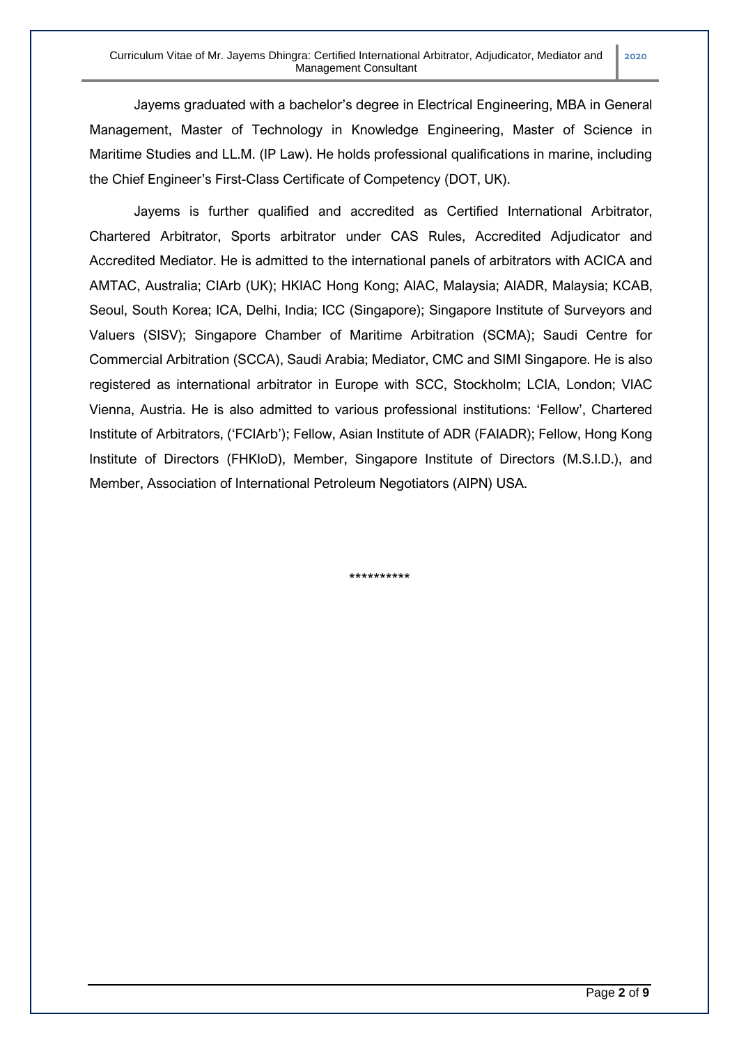Jayems graduated with a bachelor's degree in Electrical Engineering, MBA in General Management, Master of Technology in Knowledge Engineering, Master of Science in Maritime Studies and LL.M. (IP Law). He holds professional qualifications in marine, including the Chief Engineer's First-Class Certificate of Competency (DOT, UK).

Jayems is further qualified and accredited as Certified International Arbitrator, Chartered Arbitrator, Sports arbitrator under CAS Rules, Accredited Adjudicator and Accredited Mediator. He is admitted to the international panels of arbitrators with ACICA and AMTAC, Australia; CIArb (UK); HKIAC Hong Kong; AIAC, Malaysia; AIADR, Malaysia; KCAB, Seoul, South Korea; ICA, Delhi, India; ICC (Singapore); Singapore Institute of Surveyors and Valuers (SISV); Singapore Chamber of Maritime Arbitration (SCMA); Saudi Centre for Commercial Arbitration (SCCA), Saudi Arabia; Mediator, CMC and SIMI Singapore. He is also registered as international arbitrator in Europe with SCC, Stockholm; LCIA, London; VIAC Vienna, Austria. He is also admitted to various professional institutions: 'Fellow', Chartered Institute of Arbitrators, ('FCIArb'); Fellow, Asian Institute of ADR (FAIADR); Fellow, Hong Kong Institute of Directors (FHKIoD), Member, Singapore Institute of Directors (M.S.I.D.), and Member, Association of International Petroleum Negotiators (AIPN) USA.

\*\*\*\*\*\*\*\*\*\*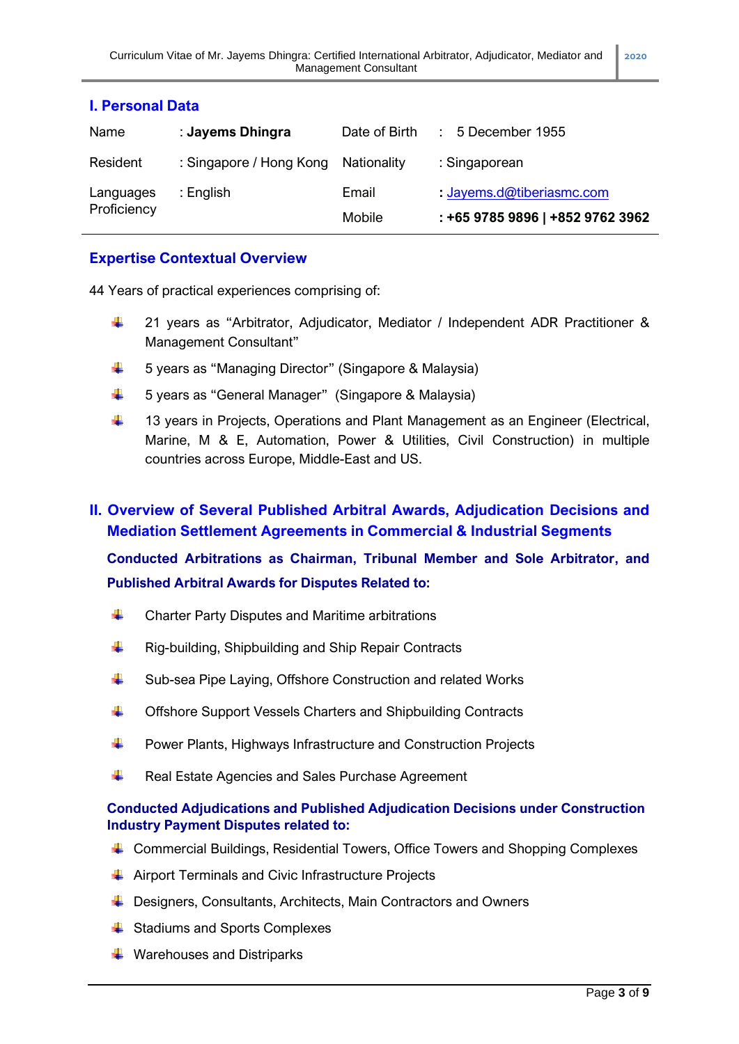| <b>I. Personal Data</b>  |                         |                 |                                                                          |  |
|--------------------------|-------------------------|-----------------|--------------------------------------------------------------------------|--|
| Name                     | : Jayems Dhingra        | Date of Birth   | $: 5$ December 1955                                                      |  |
| Resident                 | : Singapore / Hong Kong | Nationality     | : Singaporean                                                            |  |
| Languages<br>Proficiency | : English               | Email<br>Mobile | $\therefore$ Jayems.d@tiberiasmc.com<br>: +65 9785 9896   +852 9762 3962 |  |

### **I. Personal Data**

# **Expertise Contextual Overview**

44 Years of practical experiences comprising of:

- ₩. 21 years as "Arbitrator, Adjudicator, Mediator / Independent ADR Practitioner & Management Consultant"
- $\ddot{\phantom{1}}$ 5 years as "Managing Director" (Singapore & Malaysia)
- ₩ 5 years as "General Manager" (Singapore & Malaysia)
- ₩. 13 years in Projects, Operations and Plant Management as an Engineer (Electrical, Marine, M & E, Automation, Power & Utilities, Civil Construction) in multiple countries across Europe, Middle-East and US.

# **II. Overview of Several Published Arbitral Awards, Adjudication Decisions and Mediation Settlement Agreements in Commercial & Industrial Segments**

# **Conducted Arbitrations as Chairman, Tribunal Member and Sole Arbitrator, and Published Arbitral Awards for Disputes Related to:**

- ÷ Charter Party Disputes and Maritime arbitrations
- ₩. Rig-building, Shipbuilding and Ship Repair Contracts
- ₩. Sub-sea Pipe Laying, Offshore Construction and related Works
- 4. Offshore Support Vessels Charters and Shipbuilding Contracts
- ₩. Power Plants, Highways Infrastructure and Construction Projects
- ÷ Real Estate Agencies and Sales Purchase Agreement

### **Conducted Adjudications and Published Adjudication Decisions under Construction Industry Payment Disputes related to:**

- Commercial Buildings, Residential Towers, Office Towers and Shopping Complexes
- **↓** Airport Terminals and Civic Infrastructure Projects
- Designers, Consultants, Architects, Main Contractors and Owners
- **↓** Stadiums and Sports Complexes
- **↓** Warehouses and Distriparks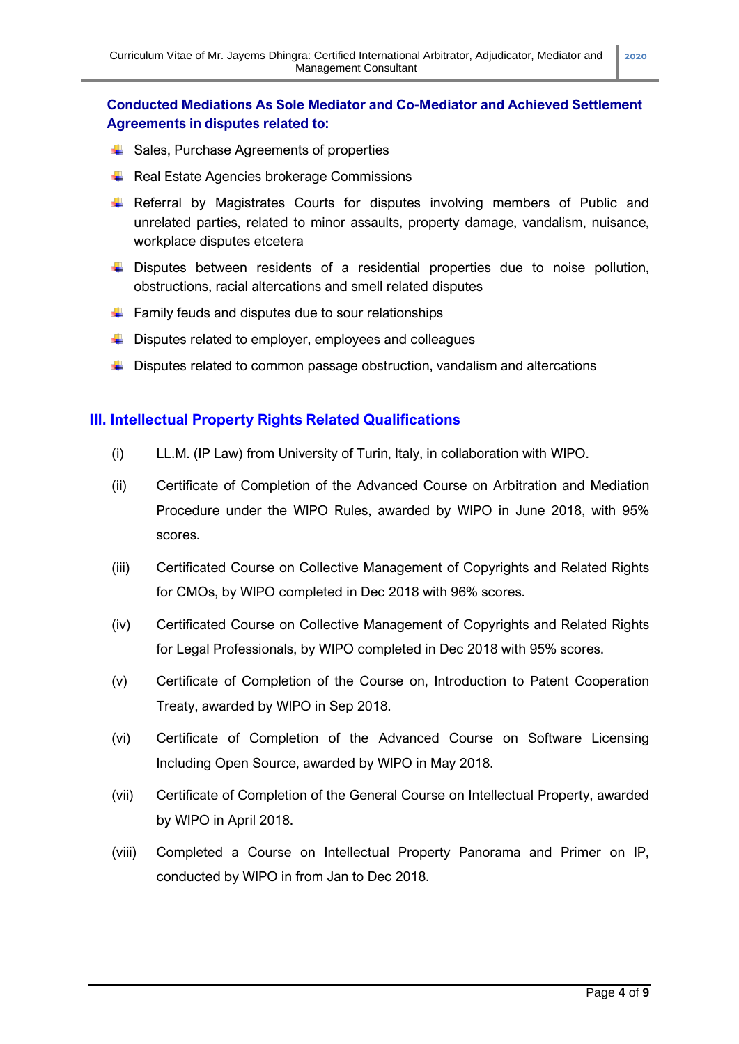### **Conducted Mediations As Sole Mediator and Co-Mediator and Achieved Settlement Agreements in disputes related to:**

- $\leftarrow$  Sales, Purchase Agreements of properties
- $\overline{\phantom{a}}$  Real Estate Agencies brokerage Commissions
- Referral by Magistrates Courts for disputes involving members of Public and unrelated parties, related to minor assaults, property damage, vandalism, nuisance, workplace disputes etcetera
- $\ddot{\phantom{1}}$  Disputes between residents of a residential properties due to noise pollution, obstructions, racial altercations and smell related disputes
- $\ddot{\phantom{1}}$  Family feuds and disputes due to sour relationships
- $\downarrow$  Disputes related to employer, employees and colleagues
- $\downarrow$  Disputes related to common passage obstruction, vandalism and altercations

### **III. Intellectual Property Rights Related Qualifications**

- (i) LL.M. (IP Law) from University of Turin, Italy, in collaboration with WIPO.
- (ii) Certificate of Completion of the Advanced Course on Arbitration and Mediation Procedure under the WIPO Rules, awarded by WIPO in June 2018, with 95% scores.
- (iii) Certificated Course on Collective Management of Copyrights and Related Rights for CMOs, by WIPO completed in Dec 2018 with 96% scores.
- (iv) Certificated Course on Collective Management of Copyrights and Related Rights for Legal Professionals, by WIPO completed in Dec 2018 with 95% scores.
- (v) Certificate of Completion of the Course on, Introduction to Patent Cooperation Treaty, awarded by WIPO in Sep 2018.
- (vi) Certificate of Completion of the Advanced Course on Software Licensing Including Open Source, awarded by WIPO in May 2018.
- (vii) Certificate of Completion of the General Course on Intellectual Property, awarded by WIPO in April 2018.
- (viii) Completed a Course on Intellectual Property Panorama and Primer on IP, conducted by WIPO in from Jan to Dec 2018.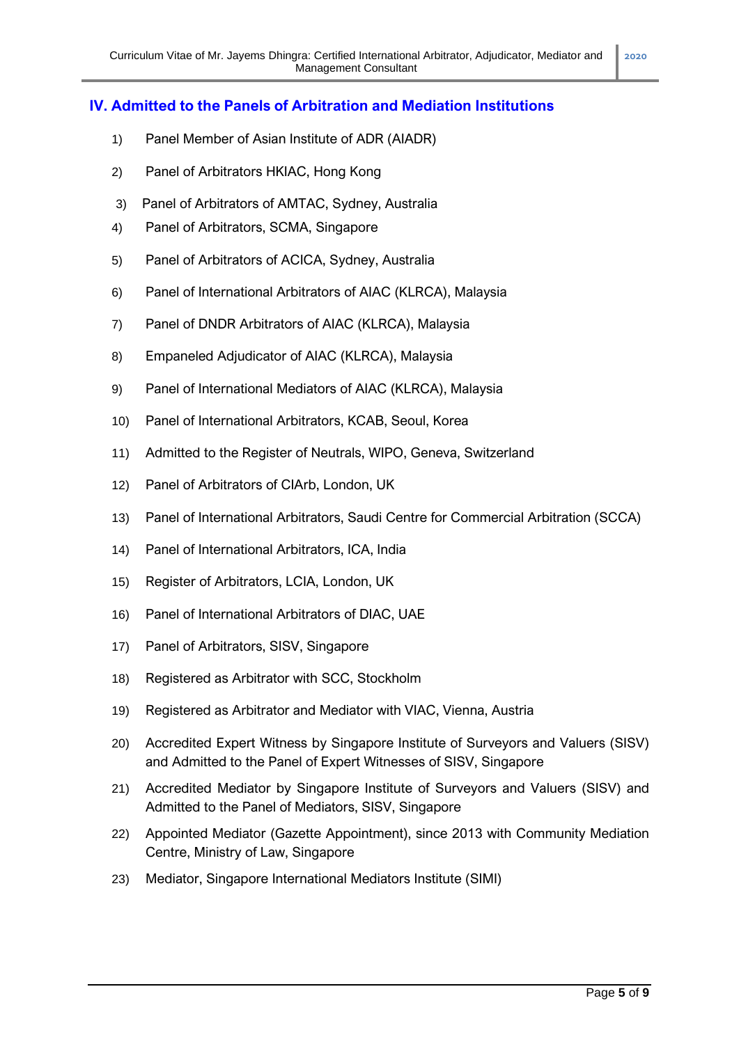### **IV. Admitted to the Panels of Arbitration and Mediation Institutions**

- 1) Panel Member of Asian Institute of ADR (AIADR)
- 2) Panel of Arbitrators HKIAC, Hong Kong
- 3) Panel of Arbitrators of AMTAC, Sydney, Australia
- 4) Panel of Arbitrators, SCMA, Singapore
- 5) Panel of Arbitrators of ACICA, Sydney, Australia
- 6) Panel of International Arbitrators of AIAC (KLRCA), Malaysia
- 7) Panel of DNDR Arbitrators of AIAC (KLRCA), Malaysia
- 8) Empaneled Adjudicator of AIAC (KLRCA), Malaysia
- 9) Panel of International Mediators of AIAC (KLRCA), Malaysia
- 10) Panel of International Arbitrators, KCAB, Seoul, Korea
- 11) Admitted to the Register of Neutrals, WIPO, Geneva, Switzerland
- 12) Panel of Arbitrators of CIArb, London, UK
- 13) Panel of International Arbitrators, Saudi Centre for Commercial Arbitration (SCCA)
- 14) Panel of International Arbitrators, ICA, India
- 15) Register of Arbitrators, LCIA, London, UK
- 16) Panel of International Arbitrators of DIAC, UAE
- 17) Panel of Arbitrators, SISV, Singapore
- 18) Registered as Arbitrator with SCC, Stockholm
- 19) Registered as Arbitrator and Mediator with VIAC, Vienna, Austria
- 20) Accredited Expert Witness by Singapore Institute of Surveyors and Valuers (SISV) and Admitted to the Panel of Expert Witnesses of SISV, Singapore
- 21) Accredited Mediator by Singapore Institute of Surveyors and Valuers (SISV) and Admitted to the Panel of Mediators, SISV, Singapore
- 22) Appointed Mediator (Gazette Appointment), since 2013 with Community Mediation Centre, Ministry of Law, Singapore
- 23) Mediator, Singapore International Mediators Institute (SIMI)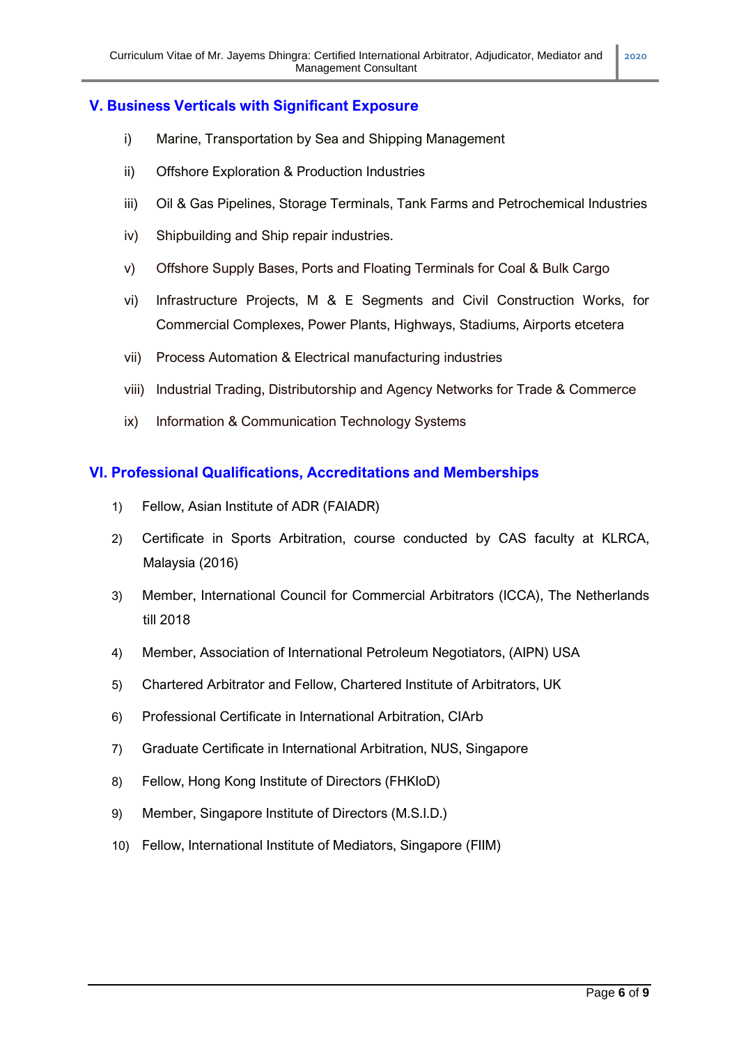### **V. Business Verticals with Significant Exposure**

- i) Marine, Transportation by Sea and Shipping Management
- ii) Offshore Exploration & Production Industries
- iii) Oil & Gas Pipelines, Storage Terminals, Tank Farms and Petrochemical Industries
- iv) Shipbuilding and Ship repair industries.
- v) Offshore Supply Bases, Ports and Floating Terminals for Coal & Bulk Cargo
- vi) Infrastructure Projects, M & E Segments and Civil Construction Works, for Commercial Complexes, Power Plants, Highways, Stadiums, Airports etcetera
- vii) Process Automation & Electrical manufacturing industries
- viii) Industrial Trading, Distributorship and Agency Networks for Trade & Commerce
- ix) Information & Communication Technology Systems

### **VI. Professional Qualifications, Accreditations and Memberships**

- 1) Fellow, Asian Institute of ADR (FAIADR)
- 2) Certificate in Sports Arbitration, course conducted by CAS faculty at KLRCA, Malaysia (2016)
- 3) Member, International Council for Commercial Arbitrators (ICCA), The Netherlands till 2018
- 4) Member, Association of International Petroleum Negotiators, (AIPN) USA
- 5) Chartered Arbitrator and Fellow, Chartered Institute of Arbitrators, UK
- 6) Professional Certificate in International Arbitration, CIArb
- 7) Graduate Certificate in International Arbitration, NUS, Singapore
- 8) Fellow, Hong Kong Institute of Directors (FHKIoD)
- 9) Member, Singapore Institute of Directors (M.S.I.D.)
- 10) Fellow, International Institute of Mediators, Singapore (FIIM)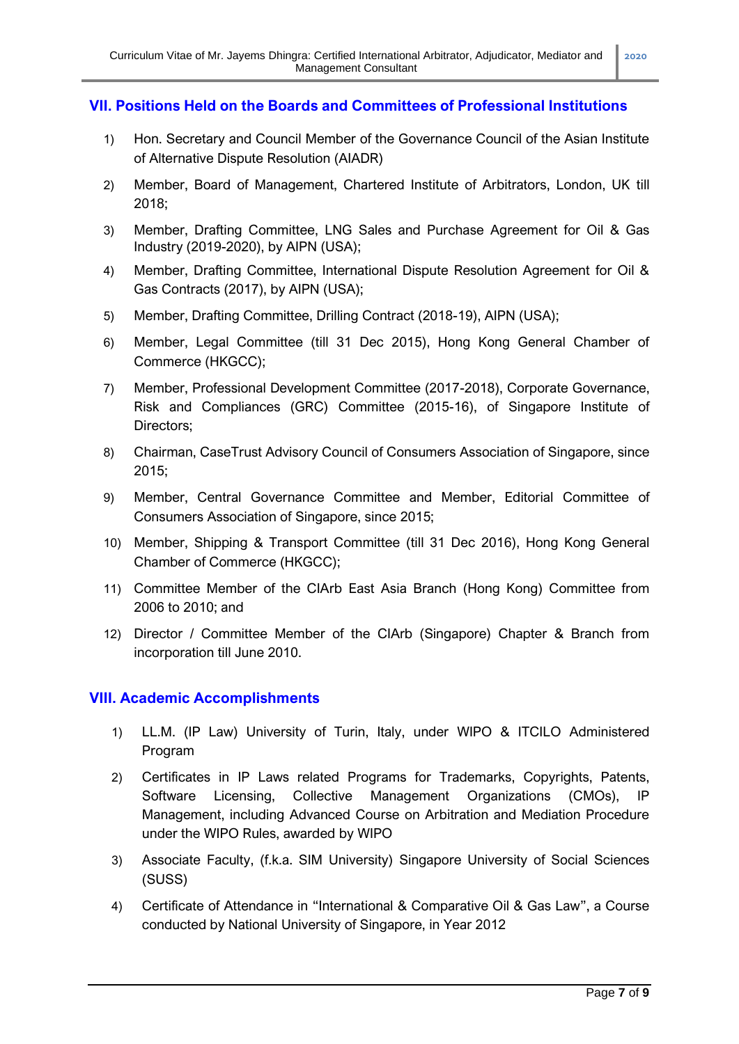### **VII. Positions Held on the Boards and Committees of Professional Institutions**

- 1) Hon. Secretary and Council Member of the Governance Council of the Asian Institute of Alternative Dispute Resolution (AIADR)
- 2) Member, Board of Management, Chartered Institute of Arbitrators, London, UK till 2018;
- 3) Member, Drafting Committee, LNG Sales and Purchase Agreement for Oil & Gas Industry (2019-2020), by AIPN (USA);
- 4) Member, Drafting Committee, International Dispute Resolution Agreement for Oil & Gas Contracts (2017), by AIPN (USA);
- 5) Member, Drafting Committee, Drilling Contract (2018-19), AIPN (USA);
- 6) Member, Legal Committee (till 31 Dec 2015), Hong Kong General Chamber of Commerce (HKGCC);
- 7) Member, Professional Development Committee (2017-2018), Corporate Governance, Risk and Compliances (GRC) Committee (2015-16), of Singapore Institute of Directors;
- 8) Chairman, CaseTrust Advisory Council of Consumers Association of Singapore, since 2015;
- 9) Member, Central Governance Committee and Member, Editorial Committee of Consumers Association of Singapore, since 2015;
- 10) Member, Shipping & Transport Committee (till 31 Dec 2016), Hong Kong General Chamber of Commerce (HKGCC);
- 11) Committee Member of the CIArb East Asia Branch (Hong Kong) Committee from 2006 to 2010; and
- 12) Director / Committee Member of the CIArb (Singapore) Chapter & Branch from incorporation till June 2010.

### **VIII. Academic Accomplishments**

- 1) LL.M. (IP Law) University of Turin, Italy, under WIPO & ITCILO Administered Program
- 2) Certificates in IP Laws related Programs for Trademarks, Copyrights, Patents, Software Licensing, Collective Management Organizations (CMOs), IP Management, including Advanced Course on Arbitration and Mediation Procedure under the WIPO Rules, awarded by WIPO
- 3) Associate Faculty, (f.k.a. SIM University) Singapore University of Social Sciences (SUSS)
- 4) Certificate of Attendance in "International & Comparative Oil & Gas Law", a Course conducted by National University of Singapore, in Year 2012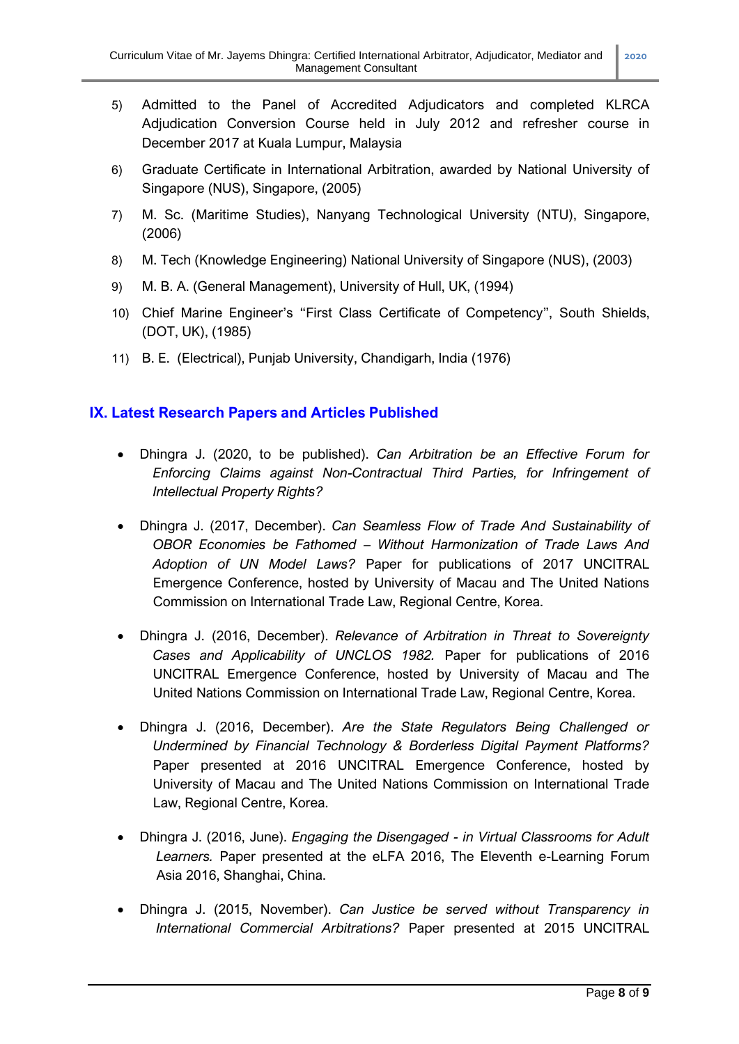- 5) Admitted to the Panel of Accredited Adjudicators and completed KLRCA Adjudication Conversion Course held in July 2012 and refresher course in December 2017 at Kuala Lumpur, Malaysia
- 6) Graduate Certificate in International Arbitration, awarded by National University of Singapore (NUS), Singapore, (2005)
- 7) M. Sc. (Maritime Studies), Nanyang Technological University (NTU), Singapore, (2006)
- 8) M. Tech (Knowledge Engineering) National University of Singapore (NUS), (2003)
- 9) M. B. A. (General Management), University of Hull, UK, (1994)
- 10) Chief Marine Engineer's "First Class Certificate of Competency", South Shields, (DOT, UK), (1985)
- 11) B. E. (Electrical), Punjab University, Chandigarh, India (1976)

### **IX. Latest Research Papers and Articles Published**

- Dhingra J. (2020, to be published). *Can Arbitration be an Effective Forum for Enforcing Claims against Non-Contractual Third Parties, for Infringement of Intellectual Property Rights?*
- Dhingra J. (2017, December). *Can Seamless Flow of Trade And Sustainability of OBOR Economies be Fathomed – Without Harmonization of Trade Laws And Adoption of UN Model Laws?* Paper for publications of 2017 UNCITRAL Emergence Conference, hosted by University of Macau and The United Nations Commission on International Trade Law, Regional Centre, Korea.
- Dhingra J. (2016, December). *Relevance of Arbitration in Threat to Sovereignty Cases and Applicability of UNCLOS 1982.* Paper for publications of 2016 UNCITRAL Emergence Conference, hosted by University of Macau and The United Nations Commission on International Trade Law, Regional Centre, Korea.
- Dhingra J. (2016, December). *Are the State Regulators Being Challenged or Undermined by Financial Technology & Borderless Digital Payment Platforms?* Paper presented at 2016 UNCITRAL Emergence Conference, hosted by University of Macau and The United Nations Commission on International Trade Law, Regional Centre, Korea.
- Dhingra J. (2016, June). *Engaging the Disengaged - in Virtual Classrooms for Adult Learners.* Paper presented at the eLFA 2016, The Eleventh e-Learning Forum Asia 2016, Shanghai, China.
- Dhingra J. (2015, November). *Can Justice be served without Transparency in International Commercial Arbitrations?* Paper presented at 2015 UNCITRAL